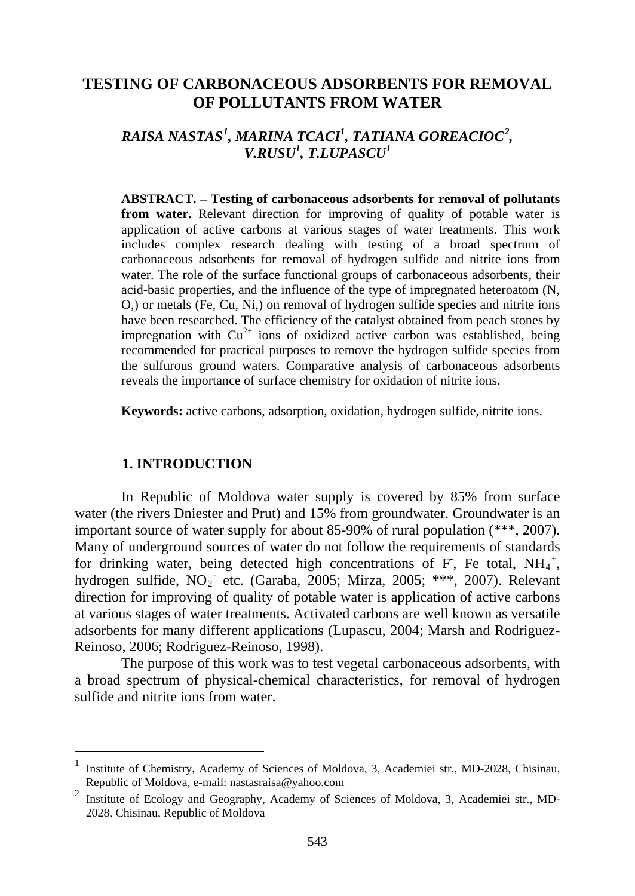# **TESTING OF CARBONACEOUS ADSORBENTS FOR REMOVAL OF POLLUTANTS FROM WATER**

# *RAISA NASTAS[1](#page-0-0) , MARINA TCACI1 , TATIANA GOREACIOC[2](#page-0-1) , V.RUSU1 , T.LUPASCU1*

**ABSTRACT. – Testing of carbonaceous adsorbents for removal of pollutants from water.** Relevant direction for improving of quality of potable water is application of active carbons at various stages of water treatments. This work includes complex research dealing with testing of a broad spectrum of carbonaceous adsorbents for removal of hydrogen sulfide and nitrite ions from water. The role of the surface functional groups of carbonaceous adsorbents, their acid-basic properties, and the influence of the type of impregnated heteroatom (N, O,) or metals (Fe, Cu, Ni,) on removal of hydrogen sulfide species and nitrite ions have been researched. The efficiency of the catalyst obtained from peach stones by impregnation with  $Cu^{2+}$  ions of oxidized active carbon was established, being recommended for practical purposes to remove the hydrogen sulfide species from the sulfurous ground waters. Comparative analysis of carbonaceous adsorbents reveals the importance of surface chemistry for oxidation of nitrite ions.

**Keywords:** active carbons, adsorption, oxidation, hydrogen sulfide, nitrite ions.

#### **1. INTRODUCTION**

In Republic of Moldova water supply is covered by 85% from surface water (the rivers Dniester and Prut) and 15% from groundwater. Groundwater is an important source of water supply for about 85-90% of rural population (\*\*\*, 2007). Many of underground sources of water do not follow the requirements of standards for drinking water, being detected high concentrations of F, Fe total,  $NH_4^+$ , hydrogen sulfide,  $NO_2^-$  etc. (Garaba, 2005; Mirza, 2005; \*\*\*, 2007). Relevant direction for improving of quality of potable water is application of active carbons at various stages of water treatments. Activated carbons are well known as versatile adsorbents for many different applications (Lupascu, 2004; Marsh and Rodriguez-Reinoso, 2006; Rodriguez-Reinoso, 1998).

The purpose of this work was to test vegetal carbonaceous adsorbents, with a broad spectrum of physical-chemical characteristics, for removal of hydrogen sulfide and nitrite ions from water.

<span id="page-0-0"></span> <sup>1</sup> Institute of Chemistry, Academy of Sciences of Moldova, 3, Academiei str., MD-2028, Chisinau, Republic of Moldova, e-mail: nastasraisa@yahoo.com

<span id="page-0-1"></span><sup>&</sup>lt;sup>2</sup> Institute of Ecology and Geography, Academy of Sciences of Moldova, 3, Academiei str., MD-2028, Chisinau, Republic of Moldova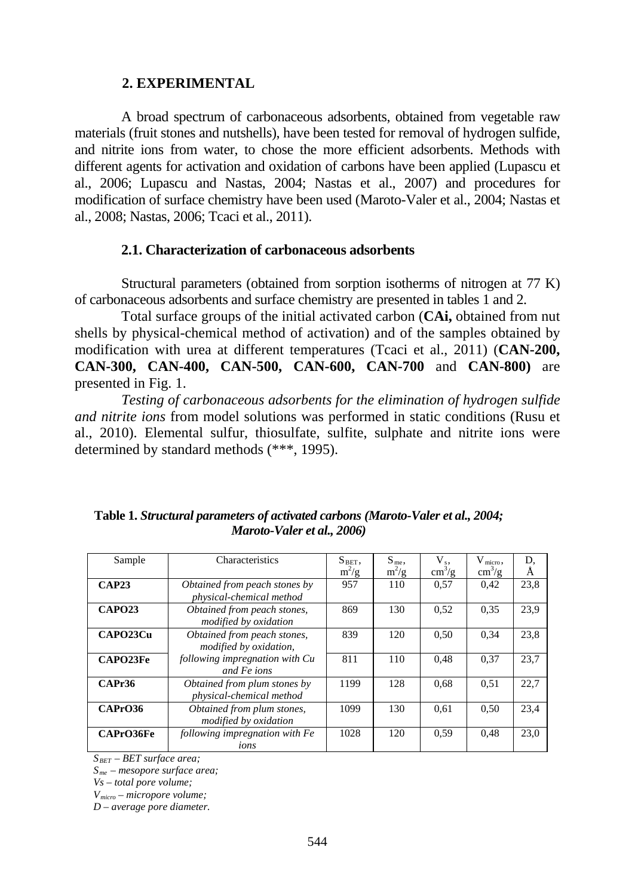#### **2. EXPERIMENTAL**

A broad spectrum of carbonaceous adsorbents, obtained from vegetable raw materials (fruit stones and nutshells), have been tested for removal of hydrogen sulfide, and nitrite ions from water, to chose the more efficient adsorbents. Methods with different agents for activation and oxidation of carbons have been applied (Lupascu et al., 2006; Lupascu and Nastas, 2004; Nastas et al., 2007) and procedures for modification of surface chemistry have been used (Maroto-Valer et al., 2004; Nastas et al., 2008; Nastas, 2006; Tcaci et al., 2011).

### **2.1. Characterization of carbonaceous adsorbents**

Structural parameters (obtained from sorption isotherms of nitrogen at 77 K) of carbonaceous adsorbents and surface chemistry are presented in tables 1 and 2.

Total surface groups of the initial activated carbon (**CAi,** obtained from nut shells by physical-chemical method of activation) and of the samples obtained by modification with urea at different temperatures (Tcaci et al., 2011) (**CAN-200, CAN-300, CAN-400, CAN-500, CAN-600, CAN-700** and **CAN-800)** are presented in Fig. 1.

*Testing of carbonaceous adsorbents for the elimination of hydrogen sulfide and nitrite ions* from model solutions was performed in static conditions (Rusu et al., 2010). Elemental sulfur, thiosulfate, sulfite, sulphate and nitrite ions were determined by standard methods (\*\*\*, 1995).

| Sample        | <b>Characteristics</b>                                    | $S_{BET}$ , | $S_{me}$ , | $V_{s}$                | $Vmicro$ ,             | D.   |
|---------------|-----------------------------------------------------------|-------------|------------|------------------------|------------------------|------|
|               |                                                           | $m^2/g$     | $m^2/g$    | $\text{cm}^3/\text{g}$ | $\text{cm}^3/\text{g}$ | Ă    |
| CAP23         | Obtained from peach stones by<br>physical-chemical method | 957         | 110        | 0.57                   | 0.42                   | 23,8 |
| <b>CAPO23</b> | Obtained from peach stones,<br>modified by oxidation      | 869         | 130        | 0.52                   | 0.35                   | 23.9 |
| CAPO23Cu      | Obtained from peach stones,<br>modified by oxidation,     | 839         | 120        | 0.50                   | 0.34                   | 23,8 |
| CAPO23Fe      | following impregnation with Cu<br>and Fe ions             | 811         | 110        | 0.48                   | 0.37                   | 23.7 |
| CAPr36        | Obtained from plum stones by<br>physical-chemical method  | 1199        | 128        | 0.68                   | 0.51                   | 22.7 |
| CAPrO36       | Obtained from plum stones,<br>modified by oxidation       | 1099        | 130        | 0.61                   | 0.50                   | 23.4 |
| CAPrO36Fe     | following impregnation with Fe<br>ions                    | 1028        | 120        | 0.59                   | 0.48                   | 23.0 |

## **Table 1.** *Structural parameters of activated carbons (Maroto-Valer et al., 2004; Maroto-Valer et al., 2006)*

*SBET – BET surface area;* 

*Sme – mesopore surface area;*

*Vs – total pore volume;* 

*Vmicro – micropore volume;* 

*D – average pore diameter.*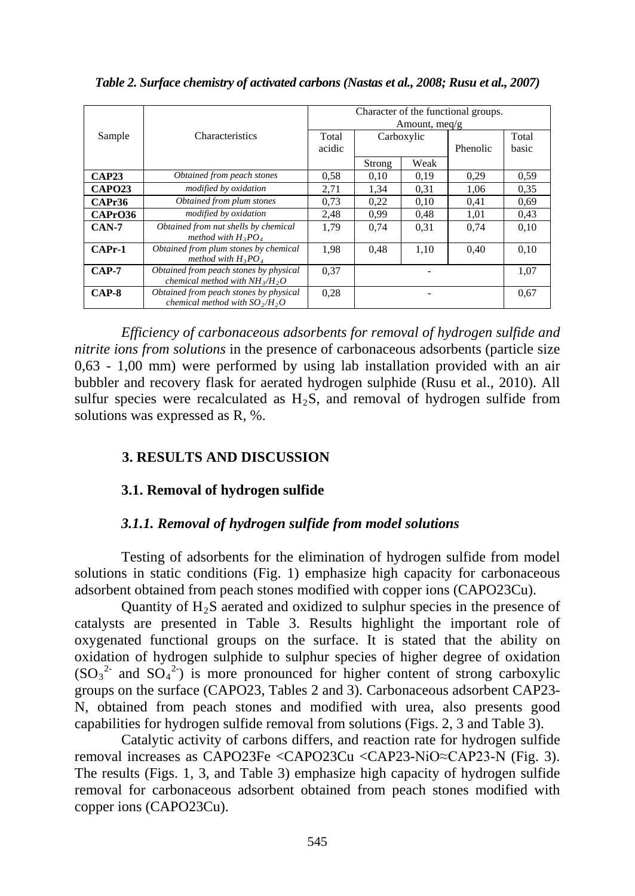|              |                                        | Character of the functional groups. |            |      |          |       |  |  |
|--------------|----------------------------------------|-------------------------------------|------------|------|----------|-------|--|--|
|              | Characteristics                        | Amount, meq/g                       |            |      |          |       |  |  |
|              |                                        |                                     |            |      |          |       |  |  |
| Sample       |                                        | Total                               | Carboxylic |      |          | Total |  |  |
|              |                                        | acidic                              |            |      | Phenolic | basic |  |  |
|              |                                        |                                     |            |      |          |       |  |  |
|              |                                        |                                     | Strong     | Weak |          |       |  |  |
| <b>CAP23</b> | Obtained from peach stones             | 0.58                                | 0,10       | 0.19 | 0.29     | 0,59  |  |  |
| CAPO23       | modified by oxidation                  | 2,71                                | 1,34       | 0.31 | 1,06     | 0.35  |  |  |
| CAPr36       | Obtained from plum stones              | 0.73                                | 0.22       | 0.10 | 0.41     | 0.69  |  |  |
| CAPrO36      | modified by oxidation                  | 2.48                                | 0.99       | 0.48 | 1.01     | 0.43  |  |  |
| $CAN-7$      | Obtained from nut shells by chemical   | 1.79                                | 0.74       | 0.31 | 0.74     | 0.10  |  |  |
|              | method with $H_3PO_4$                  |                                     |            |      |          |       |  |  |
| $CAPr-1$     | Obtained from plum stones by chemical  | 1.98                                | 0.48       | 1.10 | 0.40     | 0.10  |  |  |
|              | method with $H_3PO_4$                  |                                     |            |      |          |       |  |  |
| $CAP-7$      | Obtained from peach stones by physical | 0.37                                |            |      | 1.07     |       |  |  |
|              | chemical method with $NH_{3}/H_{2}O$   |                                     |            |      |          |       |  |  |
| $CAP-8$      | Obtained from peach stones by physical | 0.28                                |            |      | 0.67     |       |  |  |
|              | chemical method with $SO_2/H$ , O      |                                     |            |      |          |       |  |  |
|              |                                        |                                     |            |      |          |       |  |  |

*Table 2. Surface chemistry of activated carbons (Nastas et al., 2008; Rusu et al., 2007)*

*Efficiency of carbonaceous adsorbents for removal of hydrogen sulfide and nitrite ions from solutions* in the presence of carbonaceous adsorbents (particle size 0,63 - 1,00 mm) were performed by using lab installation provided with an air bubbler and recovery flask for aerated hydrogen sulphide (Rusu et al., 2010). All sulfur species were recalculated as  $H_2S$ , and removal of hydrogen sulfide from solutions was expressed as R, %.

# **3. RESULTS AND DISCUSSION**

## **3.1. Removal of hydrogen sulfide**

## *3.1.1. Removal of hydrogen sulfide from model solutions*

Testing of adsorbents for the elimination of hydrogen sulfide from model solutions in static conditions (Fig. 1) emphasize high capacity for carbonaceous adsorbent obtained from peach stones modified with copper ions (CAPO23Cu).

Quantity of  $H_2S$  aerated and oxidized to sulphur species in the presence of catalysts are presented in Table 3. Results highlight the important role of oxygenated functional groups on the surface. It is stated that the ability on oxidation of hydrogen sulphide to sulphur species of higher degree of oxidation  $(SO_3^2$  and  $SO_4^2$ ) is more pronounced for higher content of strong carboxylic groups on the surface (CAPO23, Tables 2 and 3). Carbonaceous adsorbent CAP23- N, obtained from peach stones and modified with urea, also presents good capabilities for hydrogen sulfide removal from solutions (Figs. 2, 3 and Table 3).

Catalytic activity of carbons differs, and reaction rate for hydrogen sulfide removal increases as CAPO23Fe <CAPO23Cu <CAP23-NiO≈CAP23-N (Fig. 3). The results (Figs. 1, 3, and Table 3) emphasize high capacity of hydrogen sulfide removal for carbonaceous adsorbent obtained from peach stones modified with copper ions (CAPO23Cu).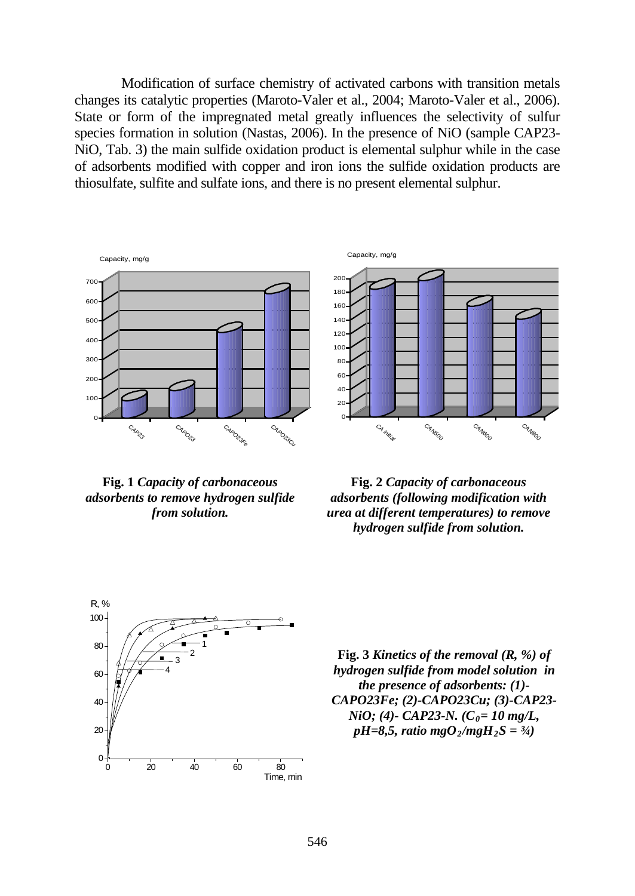Modification of surface chemistry of activated carbons with transition metals changes its catalytic properties (Maroto-Valer et al., 2004; Maroto-Valer et al., 2006). State or form of the impregnated metal greatly influences the selectivity of sulfur species formation in solution (Nastas, 2006). In the presence of NiO (sample CAP23- NiO, Tab. 3) the main sulfide oxidation product is elemental sulphur while in the case of adsorbents modified with copper and iron ions the sulfide oxidation products are thiosulfate, sulfite and sulfate ions, and there is no present elemental sulphur.

Capacity, mg/g



**Fig. 1** *Capacity of carbonaceous adsorbents to remove hydrogen sulfide from solution.* 



**Fig. 2** *Capacity of carbonaceous adsorbents (following modification with urea at different temperatures) to remove hydrogen sulfide from solution.* 



**Fig. 3** *Kinetics of the removal (R, %) of hydrogen sulfide from model solution in the presence of adsorbents: (1)- CAPO23Fe; (2)-CAPO23Cu; (3)-CAP23- NiO*; (4)- *CAP23-N.*  $(C_0 = 10 \text{ mg/L}$ , *pH=8,5, ratio mgO<sub>2</sub>/mgH<sub>2</sub>S = 3/4)*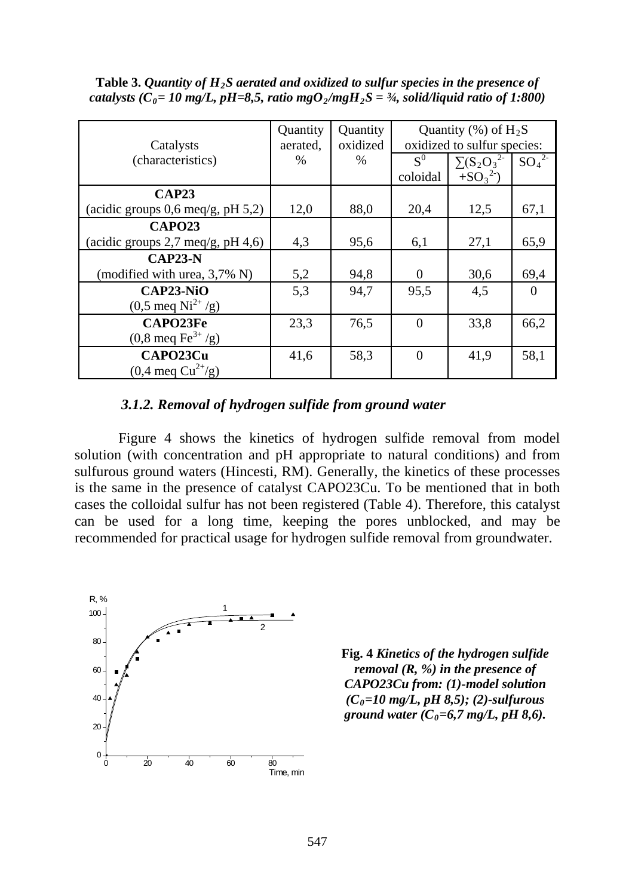| Catalysts                                            | Quantity<br>aerated. | Quantity<br>oxidized | Quantity $(\% )$ of $H_2S$<br>oxidized to sulfur species: |                   |          |  |
|------------------------------------------------------|----------------------|----------------------|-----------------------------------------------------------|-------------------|----------|--|
| (characteristics)                                    | $\%$                 | $\%$                 | $S^0$                                                     | $\sum (S_2O_3^2)$ | $SO_4^2$ |  |
|                                                      |                      |                      | coloidal                                                  | $+SO_3^2$         |          |  |
| CAP23                                                |                      |                      |                                                           |                   |          |  |
| (acidic groups $0,6 \text{ med/g}, \text{pH } 5,2$ ) | 12,0                 | 88,0                 | 20,4                                                      | 12,5              | 67,1     |  |
| <b>CAPO23</b>                                        |                      |                      |                                                           |                   |          |  |
| (acidic groups $2,7$ meq/g, pH $4,6$ )               | 4,3                  | 95,6                 | 6,1                                                       | 27,1              | 65,9     |  |
| $CAP23-N$                                            |                      |                      |                                                           |                   |          |  |
| (modified with urea, 3,7% N)                         | 5,2                  | 94,8                 | $\Omega$                                                  | 30,6              | 69,4     |  |
| $CAP23-NiO$<br>$(0,5 \text{ meq Ni}^{2+}/g)$         | 5,3                  | 94.7                 | 95,5                                                      | 4,5               | $\Omega$ |  |
| CAPO23Fe<br>$(0, 8 \text{ meq Fe}^{3+}/g)$           | 23,3                 | 76,5                 | $\Omega$                                                  | 33,8              | 66,2     |  |
| CAPO23Cu<br>$(0,4 \text{ meq Cu}^{2+}/g)$            | 41,6                 | 58,3                 | $\Omega$                                                  | 41.9              | 58,1     |  |

Table 3. *Quantity of H<sub>2</sub>S aerated and oxidized to sulfur species in the presence of catalysts (C<sub>0</sub>= 10 mg/L, pH=8,5, ratio mgO<sub>2</sub>/mgH<sub>2</sub>S = <sup>3</sup>/<sub>4</sub>, solid/liquid ratio of 1:800)* 

#### *3.1.2. Removal of hydrogen sulfide from ground water*

Figure 4 shows the kinetics of hydrogen sulfide removal from model solution (with concentration and pH appropriate to natural conditions) and from sulfurous ground waters (Hincesti, RM). Generally, the kinetics of these processes is the same in the presence of catalyst CAPO23Cu. To be mentioned that in both cases the colloidal sulfur has not been registered (Table 4). Therefore, this catalyst can be used for a long time, keeping the pores unblocked, and may be recommended for practical usage for hydrogen sulfide removal from groundwater.



**Fig. 4** *Kinetics of the hydrogen sulfide removal (R, %) in the presence of CAPO23Cu from: (1)-model solution (C0=10 mg/L, pH 8,5); (2)-sulfurous ground water*  $(C_0=6,7 \text{ mg/L}, pH 8,6)$ .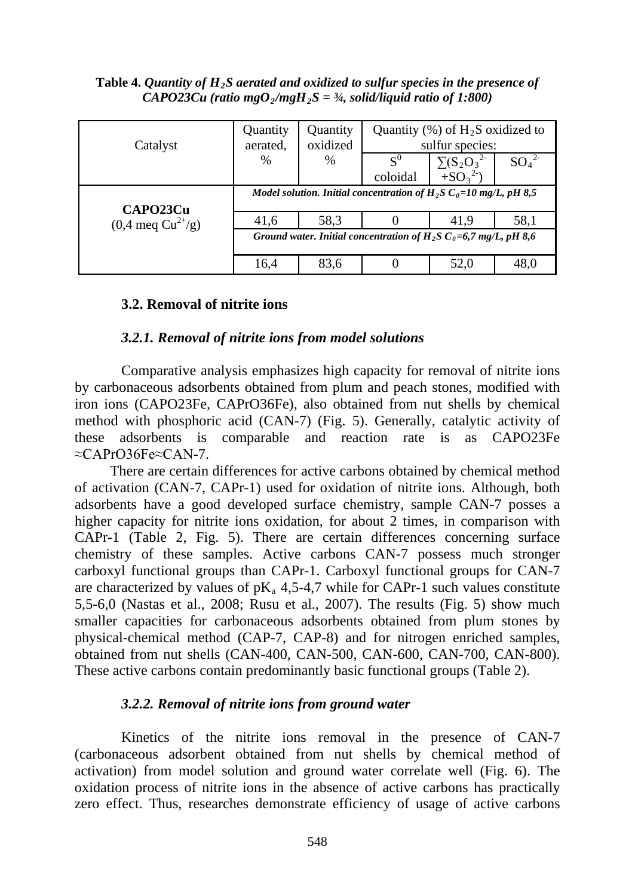#### Table 4. *Quantity of H<sub>2</sub>S aerated and oxidized to sulfur species in the presence of CAPO23Cu* (ratio mgO<sub>2</sub>/mgH<sub>2</sub>S = <sup>3</sup>/<sub>4</sub>, solid/liquid ratio of 1:800)

| Catalyst                      | Quantity<br>aerated.                                                            | Quantity<br>oxidized | Quantity $(\%)$ of H <sub>2</sub> S oxidized to<br>sulfur species: |                               |          |  |
|-------------------------------|---------------------------------------------------------------------------------|----------------------|--------------------------------------------------------------------|-------------------------------|----------|--|
|                               | $\%$                                                                            | $\%$                 | $\mathbf{S}^0$<br>coloidal                                         | $\sum (S_2O_3^2$<br>$+SO_3^2$ | $SO_4^2$ |  |
| CAPO23Cu                      | Model solution. Initial concentration of H <sub>2</sub> S $C_0=10$ mg/L, pH 8,5 |                      |                                                                    |                               |          |  |
| $(0,4 \text{ meq Cu}^{2+}/g)$ | 41,6                                                                            | 58.3                 |                                                                    | 41.9                          | 58,1     |  |
|                               | Ground water. Initial concentration of $H_2S C_0=6.7$ mg/L, pH 8.6              |                      |                                                                    |                               |          |  |
|                               | 16,4                                                                            | 83.6                 |                                                                    | 52,0                          | 48.0     |  |

### **3.2. Removal of nitrite ions**

### *3.2.1. Removal of nitrite ions from model solutions*

Comparative analysis emphasizes high capacity for removal of nitrite ions by carbonaceous adsorbents obtained from plum and peach stones, modified with iron ions (CAPO23Fe, CAPrO36Fe), also obtained from nut shells by chemical method with phosphoric acid (CAN-7) (Fig. 5). Generally, catalytic activity of these adsorbents is comparable and reaction rate is as CAPO23Fe ≈CAPrO36Fe≈CAN-7.

There are certain differences for active carbons obtained by chemical method of activation (CAN-7, CAPr-1) used for oxidation of nitrite ions. Although, both adsorbents have a good developed surface chemistry, sample CAN-7 posses a higher capacity for nitrite ions oxidation, for about 2 times, in comparison with CAPr-1 (Table 2, Fig. 5). There are certain differences concerning surface chemistry of these samples. Active carbons CAN-7 possess much stronger carboxyl functional groups than CAPr-1. Carboxyl functional groups for CAN-7 are characterized by values of  $pK_a$  4,5-4,7 while for CAPr-1 such values constitute 5,5-6,0 (Nastas et al., 2008; Rusu et al., 2007). The results (Fig. 5) show much smaller capacities for carbonaceous adsorbents obtained from plum stones by physical-chemical method (CAP-7, CAP-8) and for nitrogen enriched samples, obtained from nut shells (CAN-400, CAN-500, CAN-600, CAN-700, CAN-800). These active carbons contain predominantly basic functional groups (Table 2).

## *3.2.2. Removal of nitrite ions from ground water*

Kinetics of the nitrite ions removal in the presence of CAN-7 (carbonaceous adsorbent obtained from nut shells by chemical method of activation) from model solution and ground water correlate well (Fig. 6). The oxidation process of nitrite ions in the absence of active carbons has practically zero effect. Thus, researches demonstrate efficiency of usage of active carbons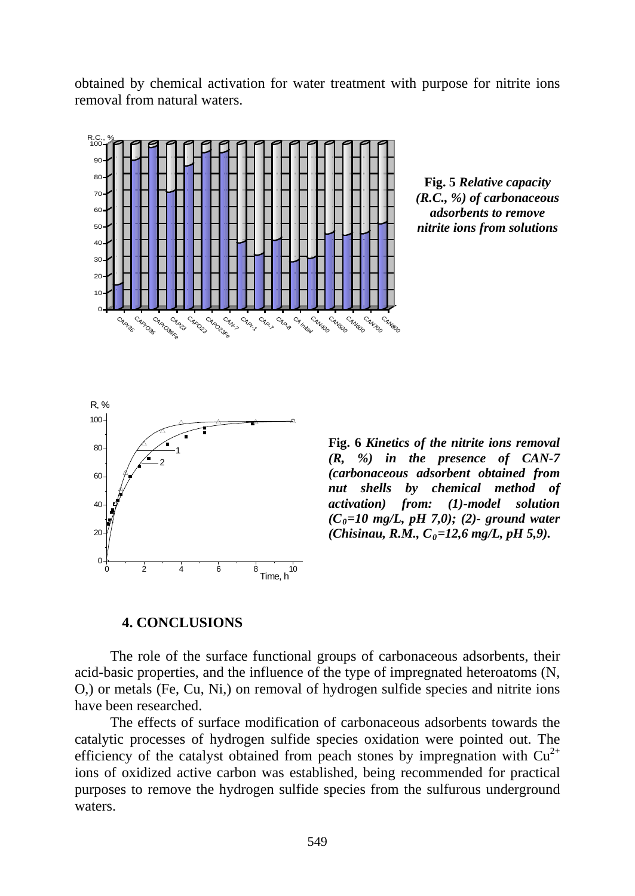obtained by chemical activation for water treatment with purpose for nitrite ions removal from natural waters.



**Fig. 5** *Relative capacity (R.C., %) of carbonaceous adsorbents to remove nitrite ions from solutions*



**Fig. 6** *Kinetics of the nitrite ions removal (R, %) in the presence of CAN-7 (carbonaceous adsorbent obtained from nut shells by chemical method of activation) from: (1)-model solution (C0=10 mg/L, pH 7,0); (2)- ground water (Chisinau, R.M., C<sub>0</sub>=12,6 mg/L, pH 5,9).* 

#### **4. CONCLUSIONS**

The role of the surface functional groups of carbonaceous adsorbents, their acid-basic properties, and the influence of the type of impregnated heteroatoms (N, O,) or metals (Fe, Cu, Ni,) on removal of hydrogen sulfide species and nitrite ions have been researched.

The effects of surface modification of carbonaceous adsorbents towards the catalytic processes of hydrogen sulfide species oxidation were pointed out. The efficiency of the catalyst obtained from peach stones by impregnation with  $Cu^{2+}$ ions of oxidized active carbon was established, being recommended for practical purposes to remove the hydrogen sulfide species from the sulfurous underground waters.